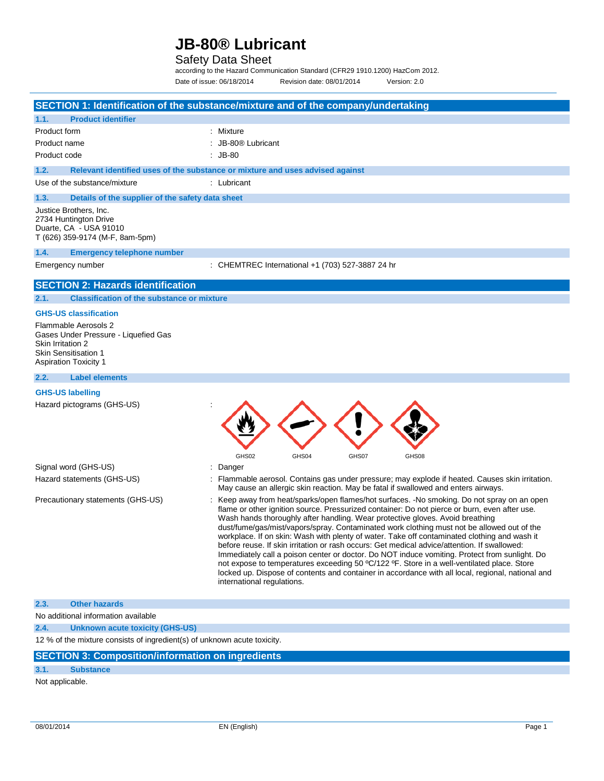### Safety Data Sheet

according to the Hazard Communication Standard (CFR29 1910.1200) HazCom 2012. Date of issue: 06/18/2014 Revision date: 08/01/2014 Version: 2.0

|                                                                                                                                                                                  | SECTION 1: Identification of the substance/mixture and of the company/undertaking                                                                                                                                                                                                                                                                                                                                                                                                                                                                                                                                                                                                                                                                                                                                                                                                                             |
|----------------------------------------------------------------------------------------------------------------------------------------------------------------------------------|---------------------------------------------------------------------------------------------------------------------------------------------------------------------------------------------------------------------------------------------------------------------------------------------------------------------------------------------------------------------------------------------------------------------------------------------------------------------------------------------------------------------------------------------------------------------------------------------------------------------------------------------------------------------------------------------------------------------------------------------------------------------------------------------------------------------------------------------------------------------------------------------------------------|
| <b>Product identifier</b><br>1.1.                                                                                                                                                |                                                                                                                                                                                                                                                                                                                                                                                                                                                                                                                                                                                                                                                                                                                                                                                                                                                                                                               |
| Product form<br>Product name                                                                                                                                                     | : Mixture<br>: JB-80® Lubricant                                                                                                                                                                                                                                                                                                                                                                                                                                                                                                                                                                                                                                                                                                                                                                                                                                                                               |
| Product code                                                                                                                                                                     | $:$ JB-80                                                                                                                                                                                                                                                                                                                                                                                                                                                                                                                                                                                                                                                                                                                                                                                                                                                                                                     |
|                                                                                                                                                                                  |                                                                                                                                                                                                                                                                                                                                                                                                                                                                                                                                                                                                                                                                                                                                                                                                                                                                                                               |
| 1.2.                                                                                                                                                                             | Relevant identified uses of the substance or mixture and uses advised against                                                                                                                                                                                                                                                                                                                                                                                                                                                                                                                                                                                                                                                                                                                                                                                                                                 |
| Use of the substance/mixture                                                                                                                                                     | : Lubricant                                                                                                                                                                                                                                                                                                                                                                                                                                                                                                                                                                                                                                                                                                                                                                                                                                                                                                   |
| 1.3.<br>Details of the supplier of the safety data sheet                                                                                                                         |                                                                                                                                                                                                                                                                                                                                                                                                                                                                                                                                                                                                                                                                                                                                                                                                                                                                                                               |
| Justice Brothers, Inc.<br>2734 Huntington Drive<br>Duarte, CA - USA 91010<br>T (626) 359-9174 (M-F, 8am-5pm)                                                                     |                                                                                                                                                                                                                                                                                                                                                                                                                                                                                                                                                                                                                                                                                                                                                                                                                                                                                                               |
| 1.4.<br><b>Emergency telephone number</b>                                                                                                                                        |                                                                                                                                                                                                                                                                                                                                                                                                                                                                                                                                                                                                                                                                                                                                                                                                                                                                                                               |
| Emergency number                                                                                                                                                                 | : CHEMTREC International +1 (703) 527-3887 24 hr                                                                                                                                                                                                                                                                                                                                                                                                                                                                                                                                                                                                                                                                                                                                                                                                                                                              |
| <b>SECTION 2: Hazards identification</b>                                                                                                                                         |                                                                                                                                                                                                                                                                                                                                                                                                                                                                                                                                                                                                                                                                                                                                                                                                                                                                                                               |
| 2.1.<br><b>Classification of the substance or mixture</b>                                                                                                                        |                                                                                                                                                                                                                                                                                                                                                                                                                                                                                                                                                                                                                                                                                                                                                                                                                                                                                                               |
| <b>GHS-US classification</b><br>Flammable Aerosols 2<br>Gases Under Pressure - Liquefied Gas<br>Skin Irritation 2<br><b>Skin Sensitisation 1</b><br><b>Aspiration Toxicity 1</b> |                                                                                                                                                                                                                                                                                                                                                                                                                                                                                                                                                                                                                                                                                                                                                                                                                                                                                                               |
| 2.2.<br><b>Label elements</b>                                                                                                                                                    |                                                                                                                                                                                                                                                                                                                                                                                                                                                                                                                                                                                                                                                                                                                                                                                                                                                                                                               |
| <b>GHS-US labelling</b>                                                                                                                                                          |                                                                                                                                                                                                                                                                                                                                                                                                                                                                                                                                                                                                                                                                                                                                                                                                                                                                                                               |
| Hazard pictograms (GHS-US)                                                                                                                                                       | GHS02<br>GHS04<br>GHS07<br>GHS08                                                                                                                                                                                                                                                                                                                                                                                                                                                                                                                                                                                                                                                                                                                                                                                                                                                                              |
| Signal word (GHS-US)                                                                                                                                                             | ÷<br>Danger                                                                                                                                                                                                                                                                                                                                                                                                                                                                                                                                                                                                                                                                                                                                                                                                                                                                                                   |
| Hazard statements (GHS-US)                                                                                                                                                       | : Flammable aerosol. Contains gas under pressure; may explode if heated. Causes skin irritation.<br>May cause an allergic skin reaction. May be fatal if swallowed and enters airways.                                                                                                                                                                                                                                                                                                                                                                                                                                                                                                                                                                                                                                                                                                                        |
| Precautionary statements (GHS-US)                                                                                                                                                | : Keep away from heat/sparks/open flames/hot surfaces. -No smoking. Do not spray on an open<br>flame or other ignition source. Pressurized container: Do not pierce or burn, even after use.<br>Wash hands thoroughly after handling. Wear protective gloves. Avoid breathing<br>dust/fume/gas/mist/vapors/spray. Contaminated work clothing must not be allowed out of the<br>workplace. If on skin: Wash with plenty of water. Take off contaminated clothing and wash it<br>before reuse. If skin irritation or rash occurs: Get medical advice/attention. If swallowed:<br>Immediately call a poison center or doctor. Do NOT induce vomiting. Protect from sunlight. Do<br>not expose to temperatures exceeding 50 °C/122 °F. Store in a well-ventilated place. Store<br>locked up. Dispose of contents and container in accordance with all local, regional, national and<br>international regulations. |
| 2.3.<br><b>Other hazards</b>                                                                                                                                                     |                                                                                                                                                                                                                                                                                                                                                                                                                                                                                                                                                                                                                                                                                                                                                                                                                                                                                                               |
| No additional information available                                                                                                                                              |                                                                                                                                                                                                                                                                                                                                                                                                                                                                                                                                                                                                                                                                                                                                                                                                                                                                                                               |
| 2.4.<br><b>Unknown acute toxicity (GHS-US)</b>                                                                                                                                   |                                                                                                                                                                                                                                                                                                                                                                                                                                                                                                                                                                                                                                                                                                                                                                                                                                                                                                               |
| 12 % of the mixture consists of ingredient(s) of unknown acute toxicity.                                                                                                         |                                                                                                                                                                                                                                                                                                                                                                                                                                                                                                                                                                                                                                                                                                                                                                                                                                                                                                               |
| <b>SECTION 3: Composition/information on ingredients</b>                                                                                                                         |                                                                                                                                                                                                                                                                                                                                                                                                                                                                                                                                                                                                                                                                                                                                                                                                                                                                                                               |
| 3.1.<br><b>Substance</b>                                                                                                                                                         |                                                                                                                                                                                                                                                                                                                                                                                                                                                                                                                                                                                                                                                                                                                                                                                                                                                                                                               |
| Not applicable.                                                                                                                                                                  |                                                                                                                                                                                                                                                                                                                                                                                                                                                                                                                                                                                                                                                                                                                                                                                                                                                                                                               |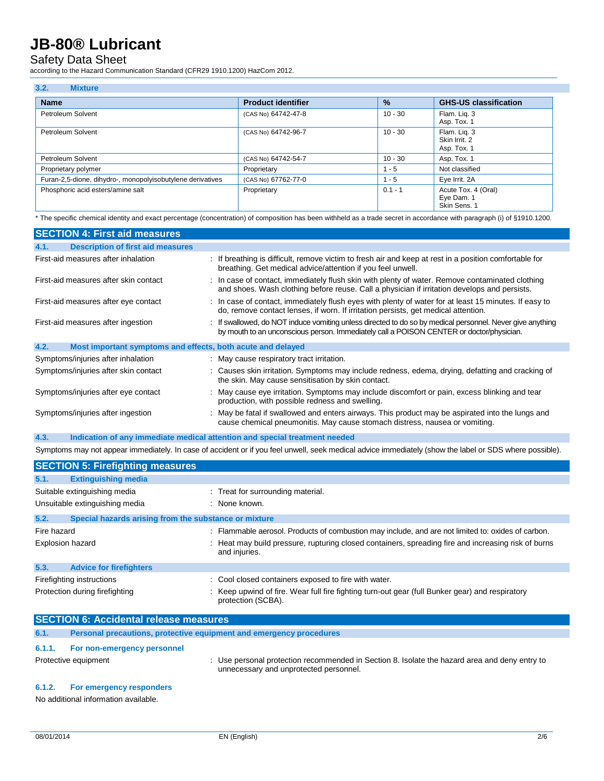### Safety Data Sheet

according to the Hazard Communication Standard (CFR29 1910.1200) HazCom 2012.

| 3.2.<br><b>Mixture</b>                                     |                           |               |                                                   |
|------------------------------------------------------------|---------------------------|---------------|---------------------------------------------------|
| <b>Name</b>                                                | <b>Product identifier</b> | $\frac{9}{6}$ | <b>GHS-US classification</b>                      |
| Petroleum Solvent                                          | (CAS No) 64742-47-8       | $10 - 30$     | Flam. Lig. 3<br>Asp. Tox. 1                       |
| Petroleum Solvent                                          | (CAS No) 64742-96-7       | $10 - 30$     | Flam. Lig. 3<br>Skin Irrit, 2<br>Asp. Tox. 1      |
| Petroleum Solvent                                          | (CAS No) 64742-54-7       | $10 - 30$     | Asp. Tox. 1                                       |
| Proprietary polymer                                        | Proprietary               | $1 - 5$       | Not classified                                    |
| Furan-2,5-dione, dihydro-, monopolyisobutylene derivatives | (CAS No) 67762-77-0       | $1 - 5$       | Eye Irrit. 2A                                     |
| Phosphoric acid esters/amine salt                          | Proprietary               | $0.1 - 1$     | Acute Tox. 4 (Oral)<br>Eye Dam. 1<br>Skin Sens. 1 |

\* The specific chemical identity and exact percentage (concentration) of composition has been withheld as a trade secret in accordance with paragraph (i) of §1910.1200.

| <b>SECTION 4: First aid measures</b>                                |                                                                                                                                                                                                       |
|---------------------------------------------------------------------|-------------------------------------------------------------------------------------------------------------------------------------------------------------------------------------------------------|
| <b>Description of first aid measures</b><br>4.1.                    |                                                                                                                                                                                                       |
| First-aid measures after inhalation                                 | : If breathing is difficult, remove victim to fresh air and keep at rest in a position comfortable for<br>breathing. Get medical advice/attention if you feel unwell.                                 |
| First-aid measures after skin contact                               | : In case of contact, immediately flush skin with plenty of water. Remove contaminated clothing<br>and shoes. Wash clothing before reuse. Call a physician if irritation develops and persists.       |
| First-aid measures after eye contact                                | : In case of contact, immediately flush eyes with plenty of water for at least 15 minutes. If easy to<br>do, remove contact lenses, if worn. If irritation persists, get medical attention.           |
| First-aid measures after ingestion                                  | : If swallowed, do NOT induce vomiting unless directed to do so by medical personnel. Never give anything<br>by mouth to an unconscious person. Immediately call a POISON CENTER or doctor/physician. |
| 4.2.<br>Most important symptoms and effects, both acute and delayed |                                                                                                                                                                                                       |
| Symptoms/injuries after inhalation                                  | : May cause respiratory tract irritation.                                                                                                                                                             |
| Symptoms/injuries after skin contact                                | : Causes skin irritation. Symptoms may include redness, edema, drying, defatting and cracking of<br>the skin. May cause sensitisation by skin contact.                                                |
| Symptoms/injuries after eye contact                                 | : May cause eye irritation. Symptoms may include discomfort or pain, excess blinking and tear<br>production, with possible redness and swelling.                                                      |
| Symptoms/injuries after ingestion                                   | : May be fatal if swallowed and enters airways. This product may be aspirated into the lungs and<br>cause chemical pneumonitis. May cause stomach distress, nausea or vomiting.                       |

#### **4.3. Indication of any immediate medical attention and special treatment needed**

Symptoms may not appear immediately. In case of accident or if you feel unwell, seek medical advice immediately (show the label or SDS where possible).

|                         | <b>SECTION 5: Firefighting measures</b>               |                                                                                                                       |
|-------------------------|-------------------------------------------------------|-----------------------------------------------------------------------------------------------------------------------|
| 5.1.                    | <b>Extinguishing media</b>                            |                                                                                                                       |
|                         | Suitable extinguishing media                          | : Treat for surrounding material.                                                                                     |
|                         | Unsuitable extinguishing media                        | : None known.                                                                                                         |
| 5.2.                    | Special hazards arising from the substance or mixture |                                                                                                                       |
| Fire hazard             |                                                       | : Flammable aerosol. Products of combustion may include, and are not limited to: oxides of carbon.                    |
| <b>Explosion hazard</b> |                                                       | : Heat may build pressure, rupturing closed containers, spreading fire and increasing risk of burns<br>and injuries.  |
| 5.3.                    | <b>Advice for firefighters</b>                        |                                                                                                                       |
|                         | Firefighting instructions                             | : Cool closed containers exposed to fire with water.                                                                  |
|                         | Protection during firefighting                        | : Keep upwind of fire. Wear full fire fighting turn-out gear (full Bunker gear) and respiratory<br>protection (SCBA). |

| <b>SECTION 6: Accidental release measures</b> |                                                                     |                                                                                                                                         |
|-----------------------------------------------|---------------------------------------------------------------------|-----------------------------------------------------------------------------------------------------------------------------------------|
| 6.1.                                          | Personal precautions, protective equipment and emergency procedures |                                                                                                                                         |
| 6.1.1.                                        | For non-emergency personnel                                         |                                                                                                                                         |
|                                               | Protective equipment                                                | : Use personal protection recommended in Section 8. Isolate the hazard area and deny entry to<br>unnecessary and unprotected personnel. |
|                                               | C <sub>4</sub> O Est amazazioni taggiaratara                        |                                                                                                                                         |

#### **6.1.2. For emergency responders**

No additional information available.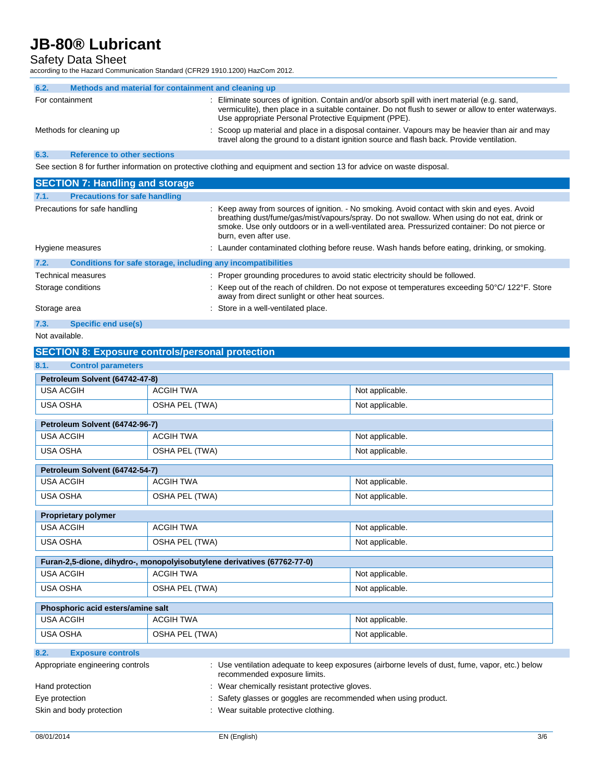## Safety Data Sheet

according to the Hazard Communication Standard (CFR29 1910.1200) HazCom 2012.

| 6.2. | Methods and material for containment and cleaning up |                                                                                                                                                                                                                                                              |
|------|------------------------------------------------------|--------------------------------------------------------------------------------------------------------------------------------------------------------------------------------------------------------------------------------------------------------------|
|      | For containment                                      | : Eliminate sources of ignition. Contain and/or absorb spill with inert material (e.g. sand,<br>vermiculite), then place in a suitable container. Do not flush to sewer or allow to enter waterways.<br>Use appropriate Personal Protective Equipment (PPE). |
|      | Methods for cleaning up                              | : Scoop up material and place in a disposal container. Vapours may be heavier than air and may<br>travel along the ground to a distant ignition source and flash back. Provide ventilation.                                                                  |
| 6.3. | <b>Reference to other sections</b>                   |                                                                                                                                                                                                                                                              |
|      |                                                      |                                                                                                                                                                                                                                                              |

See section 8 for further information on protective clothing and equipment and section 13 for advice on waste disposal.

| <b>SECTION 7: Handling and storage</b>                               |                                                                                                                                                                                                                                                                                                                       |
|----------------------------------------------------------------------|-----------------------------------------------------------------------------------------------------------------------------------------------------------------------------------------------------------------------------------------------------------------------------------------------------------------------|
| <b>Precautions for safe handling</b><br>7.1.                         |                                                                                                                                                                                                                                                                                                                       |
| Precautions for safe handling                                        | : Keep away from sources of ignition. - No smoking. Avoid contact with skin and eyes. Avoid<br>breathing dust/fume/gas/mist/vapours/spray. Do not swallow. When using do not eat, drink or<br>smoke. Use only outdoors or in a well-ventilated area. Pressurized container: Do not pierce or<br>burn, even after use. |
| Hygiene measures                                                     | : Launder contaminated clothing before reuse. Wash hands before eating, drinking, or smoking.                                                                                                                                                                                                                         |
| Conditions for safe storage, including any incompatibilities<br>7.2. |                                                                                                                                                                                                                                                                                                                       |
| <b>Technical measures</b>                                            | : Proper grounding procedures to avoid static electricity should be followed.                                                                                                                                                                                                                                         |
| Storage conditions                                                   | : Keep out of the reach of children. Do not expose ot temperatures exceeding $50^{\circ}$ C/ 122 $^{\circ}$ F. Store<br>away from direct sunlight or other heat sources.                                                                                                                                              |
| Storage area                                                         | : Store in a well-ventilated place.                                                                                                                                                                                                                                                                                   |
| 7.3.<br>Specific end use(s)                                          |                                                                                                                                                                                                                                                                                                                       |

|  |  | Not available. |  |  |
|--|--|----------------|--|--|
|--|--|----------------|--|--|

### **SECTION 8: Exposure controls/personal protection**

| 8.1.<br><b>Control parameters</b>                                       |                                                               |                                                                                                 |  |
|-------------------------------------------------------------------------|---------------------------------------------------------------|-------------------------------------------------------------------------------------------------|--|
| Petroleum Solvent (64742-47-8)                                          |                                                               |                                                                                                 |  |
| <b>USA ACGIH</b>                                                        | <b>ACGIH TWA</b>                                              | Not applicable.                                                                                 |  |
| <b>USA OSHA</b>                                                         | OSHA PEL (TWA)                                                | Not applicable.                                                                                 |  |
| Petroleum Solvent (64742-96-7)                                          |                                                               |                                                                                                 |  |
| <b>USA ACGIH</b>                                                        | <b>ACGIH TWA</b>                                              | Not applicable.                                                                                 |  |
| <b>USA OSHA</b>                                                         | OSHA PEL (TWA)                                                | Not applicable.                                                                                 |  |
| Petroleum Solvent (64742-54-7)                                          |                                                               |                                                                                                 |  |
| <b>USA ACGIH</b>                                                        | <b>ACGIH TWA</b>                                              | Not applicable.                                                                                 |  |
| <b>USA OSHA</b>                                                         | OSHA PEL (TWA)                                                | Not applicable.                                                                                 |  |
| <b>Proprietary polymer</b>                                              |                                                               |                                                                                                 |  |
| <b>USA ACGIH</b>                                                        | <b>ACGIH TWA</b>                                              | Not applicable.                                                                                 |  |
| <b>USA OSHA</b>                                                         | OSHA PEL (TWA)                                                | Not applicable.                                                                                 |  |
| Furan-2,5-dione, dihydro-, monopolyisobutylene derivatives (67762-77-0) |                                                               |                                                                                                 |  |
| <b>USA ACGIH</b>                                                        | <b>ACGIH TWA</b>                                              | Not applicable.                                                                                 |  |
| <b>USA OSHA</b>                                                         | OSHA PEL (TWA)                                                | Not applicable.                                                                                 |  |
| Phosphoric acid esters/amine salt                                       |                                                               |                                                                                                 |  |
| <b>USA ACGIH</b>                                                        | <b>ACGIH TWA</b>                                              | Not applicable.                                                                                 |  |
| <b>USA OSHA</b>                                                         | OSHA PEL (TWA)                                                | Not applicable.                                                                                 |  |
| 8.2.<br><b>Exposure controls</b>                                        |                                                               |                                                                                                 |  |
| Appropriate engineering controls                                        | recommended exposure limits.                                  | : Use ventilation adequate to keep exposures (airborne levels of dust, fume, vapor, etc.) below |  |
| Hand protection                                                         | : Wear chemically resistant protective gloves.                |                                                                                                 |  |
| Eye protection                                                          | Safety glasses or goggles are recommended when using product. |                                                                                                 |  |

Skin and body protection : Wear suitable protective clothing.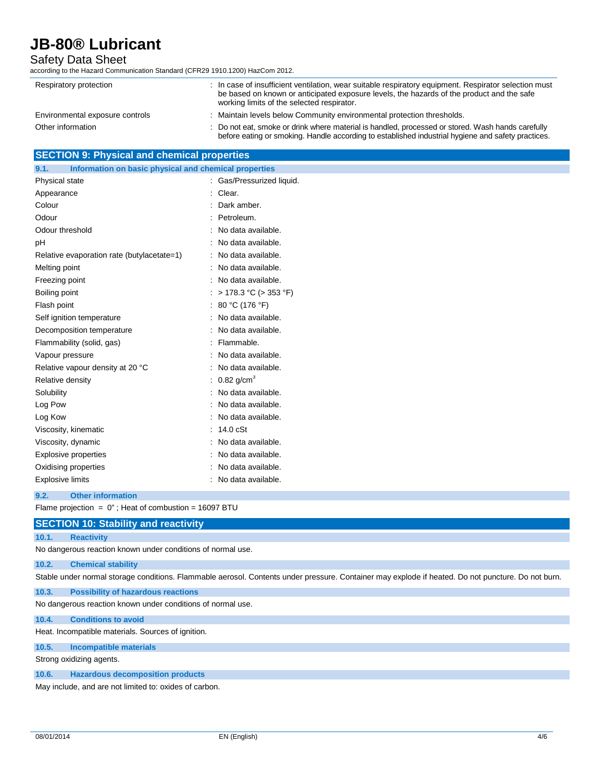### Safety Data Sheet

according to the Hazard Communication Standard (CFR29 1910.1200) HazCom 2012.

| Respiratory protection          | : In case of insufficient ventilation, wear suitable respiratory equipment. Respirator selection must<br>be based on known or anticipated exposure levels, the hazards of the product and the safe<br>working limits of the selected respirator. |
|---------------------------------|--------------------------------------------------------------------------------------------------------------------------------------------------------------------------------------------------------------------------------------------------|
| Environmental exposure controls | : Maintain levels below Community environmental protection thresholds.                                                                                                                                                                           |
| Other information               | : Do not eat, smoke or drink where material is handled, processed or stored. Wash hands carefully<br>before eating or smoking. Handle according to established industrial hygiene and safety practices.                                          |

|  | <b>SECTION 9: Physical and chemical properties</b> |  |
|--|----------------------------------------------------|--|
|--|----------------------------------------------------|--|

| Information on basic physical and chemical properties<br>9.1. |                           |
|---------------------------------------------------------------|---------------------------|
| Physical state                                                | : Gas/Pressurized liquid. |
| Appearance                                                    | : Clear.                  |
| Colour                                                        | Dark amber.               |
| Odour                                                         | : Petroleum.              |
| Odour threshold                                               | : No data available.      |
| pH                                                            | : No data available.      |
| Relative evaporation rate (butylacetate=1)                    | : No data available.      |
| Melting point                                                 | No data available.        |
| Freezing point                                                | : No data available.      |
| Boiling point                                                 | : > 178.3 °C (> 353 °F)   |
| Flash point                                                   | : 80 °C (176 °F)          |
| Self ignition temperature                                     | : No data available.      |
| Decomposition temperature                                     | : No data available.      |
| Flammability (solid, gas)                                     | : Flammable.              |
| Vapour pressure                                               | : No data available.      |
| Relative vapour density at 20 °C                              | : No data available.      |
| Relative density                                              | : 0.82 g/cm <sup>3</sup>  |
| Solubility                                                    | : No data available.      |
| Log Pow                                                       | No data available.        |
| Log Kow                                                       | : No data available.      |
| Viscosity, kinematic                                          | : 14.0 cSt                |
| Viscosity, dynamic                                            | : No data available.      |
| <b>Explosive properties</b>                                   | : No data available.      |
| Oxidising properties                                          | : No data available.      |
| <b>Explosive limits</b>                                       | No data available.        |

**9.2. Other information**

Flame projection =  $0$ "; Heat of combustion = 16097 BTU

#### **SECTION 10: Stability and reactivity**

#### **10.1. Reactivity**

No dangerous reaction known under conditions of normal use.

#### **10.2. Chemical stability**

Stable under normal storage conditions. Flammable aerosol. Contents under pressure. Container may explode if heated. Do not puncture. Do not burn.

#### **10.3. Possibility of hazardous reactions**

No dangerous reaction known under conditions of normal use.

#### **10.4. Conditions to avoid**

Heat. Incompatible materials. Sources of ignition.

#### **10.5. Incompatible materials**

Strong oxidizing agents.

#### **10.6. Hazardous decomposition products**

May include, and are not limited to: oxides of carbon.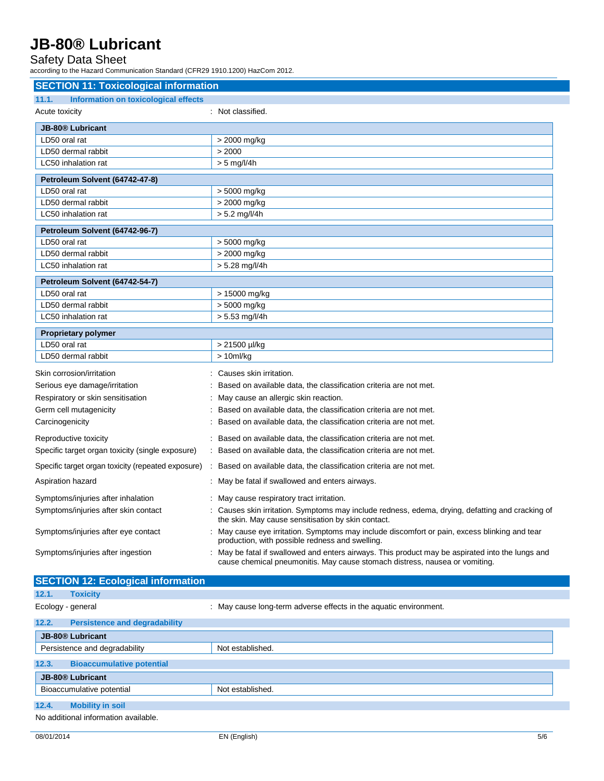### Safety Data Sheet

according to the Hazard Communication Standard (CFR29 1910.1200) HazCom 2012.

| <b>SECTION 11: Toxicological information</b>         |                                                                                                                                                                               |  |
|------------------------------------------------------|-------------------------------------------------------------------------------------------------------------------------------------------------------------------------------|--|
| 11.1.<br><b>Information on toxicological effects</b> |                                                                                                                                                                               |  |
| Acute toxicity                                       | : Not classified.                                                                                                                                                             |  |
| <b>JB-80<sup>®</sup></b> Lubricant                   |                                                                                                                                                                               |  |
| LD50 oral rat                                        | > 2000 mg/kg                                                                                                                                                                  |  |
| LD50 dermal rabbit                                   | > 2000                                                                                                                                                                        |  |
| LC50 inhalation rat                                  | $> 5$ mg/l/4h                                                                                                                                                                 |  |
| Petroleum Solvent (64742-47-8)                       |                                                                                                                                                                               |  |
| LD50 oral rat                                        | > 5000 mg/kg                                                                                                                                                                  |  |
| LD50 dermal rabbit                                   | > 2000 mg/kg                                                                                                                                                                  |  |
| LC50 inhalation rat                                  | $> 5.2$ mg/l/4h                                                                                                                                                               |  |
| Petroleum Solvent (64742-96-7)                       |                                                                                                                                                                               |  |
| LD50 oral rat                                        | > 5000 mg/kg                                                                                                                                                                  |  |
| LD50 dermal rabbit                                   | > 2000 mg/kg                                                                                                                                                                  |  |
| LC50 inhalation rat                                  | $> 5.28$ mg/l/4h                                                                                                                                                              |  |
| Petroleum Solvent (64742-54-7)                       |                                                                                                                                                                               |  |
| LD50 oral rat                                        | > 15000 mg/kg                                                                                                                                                                 |  |
| LD50 dermal rabbit                                   | > 5000 mg/kg                                                                                                                                                                  |  |
| LC50 inhalation rat                                  | $> 5.53$ mg/l/4h                                                                                                                                                              |  |
| <b>Proprietary polymer</b>                           |                                                                                                                                                                               |  |
| LD50 oral rat                                        | > 21500 µl/kg                                                                                                                                                                 |  |
| LD50 dermal rabbit                                   | $> 10$ ml/kg                                                                                                                                                                  |  |
| Skin corrosion/irritation                            | Causes skin irritation.                                                                                                                                                       |  |
| Serious eye damage/irritation                        | Based on available data, the classification criteria are not met.                                                                                                             |  |
| Respiratory or skin sensitisation                    | May cause an allergic skin reaction.                                                                                                                                          |  |
| Germ cell mutagenicity                               | Based on available data, the classification criteria are not met.                                                                                                             |  |
| Carcinogenicity                                      | Based on available data, the classification criteria are not met.                                                                                                             |  |
| Reproductive toxicity                                | Based on available data, the classification criteria are not met.                                                                                                             |  |
| Specific target organ toxicity (single exposure)     | Based on available data, the classification criteria are not met.                                                                                                             |  |
| Specific target organ toxicity (repeated exposure)   | Based on available data, the classification criteria are not met.                                                                                                             |  |
| Aspiration hazard                                    | : May be fatal if swallowed and enters airways.                                                                                                                               |  |
| Symptoms/injuries after inhalation                   | : May cause respiratory tract irritation.                                                                                                                                     |  |
| Symptoms/injuries after skin contact                 | Causes skin irritation. Symptoms may include redness, edema, drying, defatting and cracking of<br>the skin. May cause sensitisation by skin contact.                          |  |
| Symptoms/injuries after eye contact                  | May cause eye irritation. Symptoms may include discomfort or pain, excess blinking and tear<br>production, with possible redness and swelling.                                |  |
| Symptoms/injuries after ingestion                    | May be fatal if swallowed and enters airways. This product may be aspirated into the lungs and<br>cause chemical pneumonitis. May cause stomach distress, nausea or vomiting. |  |

## **SECTION 12: Ecological information 12.1. Toxicity**

Ecology - general **Ecology** - general  $\cdot$  May cause long-term adverse effects in the aquatic environment. **12.2. Persistence and degradability JB-80® Lubricant** Persistence and degradability Not established. **12.3. Bioaccumulative potential JB-80® Lubricant** Bioaccumulative potential Not established. **12.4. Mobility in soil**

No additional information available.